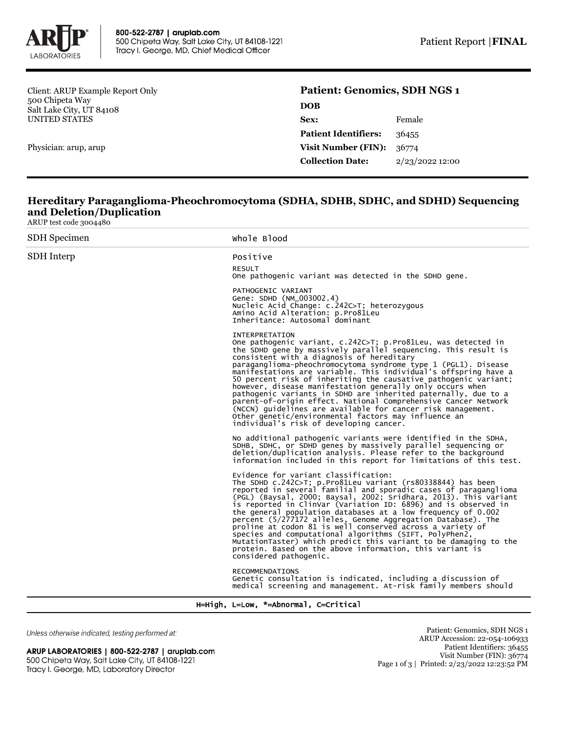

Client: ARUP Example Report Only 500 Chipeta Way Salt Lake City, UT 84108 UNITED STATES

Physician: arup, arup

## **Patient: Genomics, SDH NGS 1 DOB**

| Sex:                        | Female          |
|-----------------------------|-----------------|
| <b>Patient Identifiers:</b> | 36455           |
| <b>Visit Number (FIN):</b>  | 36774           |
| <b>Collection Date:</b>     | 2/23/2022 12:00 |

## **Hereditary Paraganglioma-Pheochromocytoma (SDHA, SDHB, SDHC, and SDHD) Sequencing and Deletion/Duplication**

ARUP test code 3004480

| <b>SDH</b> Specimen | Whole Blood                                                                                                                                                                                                                                                                                                                                                                                                                                                                                                                                                                                                                                                                                                                                                               |
|---------------------|---------------------------------------------------------------------------------------------------------------------------------------------------------------------------------------------------------------------------------------------------------------------------------------------------------------------------------------------------------------------------------------------------------------------------------------------------------------------------------------------------------------------------------------------------------------------------------------------------------------------------------------------------------------------------------------------------------------------------------------------------------------------------|
| SDH Interp          | Positive                                                                                                                                                                                                                                                                                                                                                                                                                                                                                                                                                                                                                                                                                                                                                                  |
|                     | <b>RESULT</b><br>One pathogenic variant was detected in the SDHD gene.                                                                                                                                                                                                                                                                                                                                                                                                                                                                                                                                                                                                                                                                                                    |
|                     | PATHOGENIC VARIANT<br>Gene: SDHD (NM_003002.4)<br>Nucleic Acid Change: c.242C>T; heterozygous<br>Amino Acid Alteration: p.Pro81Leu<br>Inheritance: Autosomal dominant                                                                                                                                                                                                                                                                                                                                                                                                                                                                                                                                                                                                     |
|                     | INTERPRETATION<br>One pathogenic variant, c.242C>T; p.Pro81Leu, was detected in<br>the SDHD gene by massively parallel sequencing. This result is<br>consistent with a diagnosis of hereditary<br>paraganglioma-pheochromocytoma syndrome type 1 (PGL1). Disease<br>manifestations are variable. This individual's offspring have a<br>50 percent risk of inheriting the causative pathogenic variant;<br>however, disease manifestation generally only occurs when<br>pathogenic variants in SDHD are inherited paternally, due to a<br>parent-of-origin effect. National Comprehensive Cancer Network<br>(NCCN) quidelines are available for cancer risk management.<br>Other genetic/environmental factors may influence an<br>individual's risk of developing cancer. |
|                     | No additional pathogenic variants were identified in the SDHA,<br>SDHB, SDHC, or SDHD genes by massively parallel sequencing or<br>deletion/duplication analysis. Please refer to the background<br>information included in this report for limitations of this test.                                                                                                                                                                                                                                                                                                                                                                                                                                                                                                     |
|                     | Evidence for variant classification:<br>The SDHD c.242C>T; p. Pro81Leu variant (rs80338844) has been<br>reported in several familial and sporadic cases of paraganglioma<br>(PGL) (Baysal, 2000; Baysal, 2002; Sridhara, 2013). This variant<br>is reported in ClinVar (Variation ID: 6896) and is observed in<br>the general population databases at a low frequency of 0.002<br>percent (5/277172 alleles, Genome Aggregation Database). The<br>proline at codon 81 is well conserved across a variety of<br>species and computational algorithms (SIFT, PolyPhen2,<br>MutationTaster) which predict this variant to be damaging to the<br>protein. Based on the above information, this variant is<br>considered pathogenic.                                           |
|                     | RECOMMENDATIONS<br>Genetic consultation is indicated, including a discussion of<br>medical screening and management. At-risk family members should                                                                                                                                                                                                                                                                                                                                                                                                                                                                                                                                                                                                                        |

H=High, L=Low, \*=Abnormal, C=Critical

Unless otherwise indicated, testing performed at:

ARUP LABORATORIES | 800-522-2787 | aruplab.com 500 Chipeta Way, Salt Lake City, UT 84108-1221 Tracy I. George, MD, Laboratory Director

Patient: Genomics, SDH NGS 1 ARUP Accession: 22-054-106933 Patient Identifiers: 36455 Visit Number (FIN): 36774 Page 1 of 3 | Printed: 2/23/2022 12:23:52 PM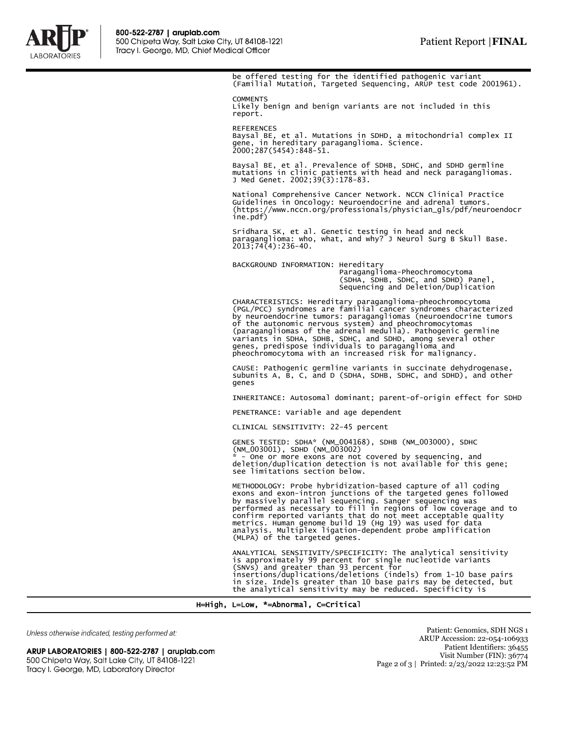

be offered testing for the identified pathogenic variant (Familial Mutation, Targeted Sequencing, ARUP test code 2001961).

**COMMENTS** Likely benign and benign variants are not included in this report.

REFERENCES Baysal BE, et al. Mutations in SDHD, a mitochondrial complex II gene, in hereditary paraganglioma. Science. 2000;287(5454):848-51.

Baysal BE, et al. Prevalence of SDHB, SDHC, and SDHD germline mutations in clinic patients with head and neck paragangliomas. J Med Genet. 2002;39(3):178-83.

National Comprehensive Cancer Network. NCCN Clinical Practice Guidelines in Oncology: Neuroendocrine and adrenal tumors. (https://www.nccn.org/professionals/physician\_gls/pdf/neuroendocr ine.pdf)

Sridhara SK, et al. Genetic testing in head and neck paraganglioma: who, what, and why? J Neurol Surg B Skull Base. 2013;74(4):236-40.

BACKGROUND INFORMATION: Hereditary Paraganglioma-Pheochromocytoma (SDHA, SDHB, SDHC, and SDHD) Panel, Sequencing and Deletion/Duplication

CHARACTERISTICS: Hereditary paraganglioma-pheochromocytoma (PGL/PCC) syndromes are familial cancer syndromes characterized by neuroendocrine tumors: paragangliomas (neuroendocrine tumors of the autonomic nervous system) and pheochromocytomas (paragangliomas of the adrenal medulla). Pathogenic germline variants in SDHA, SDHB, SDHC, and SDHD, among several other genes, predispose individuals to paraganglioma and pheochromocytoma with an increased risk for malignancy.

CAUSE: Pathogenic germline variants in succinate dehydrogenase, subunits A, B, C, and D (SDHA, SDHB, SDHC, and SDHD), and other genes

INHERITANCE: Autosomal dominant; parent-of-origin effect for SDHD

PENETRANCE: Variable and age dependent

CLINICAL SENSITIVITY: 22-45 percent

GENES TESTED: SDHA\* (NM\_004168), SDHB (NM\_003000), SDHC (NM\_003001), SDHD (NM\_003002) - One or more exons are not covered by sequencing, and

deletion/duplication detection is not available for this gene; see limitations section below.

METHODOLOGY: Probe hybridization-based capture of all coding exons and exon-intron junctions of the targeted genes followed by massively parallel sequencing. Sanger sequencing was performed as necessary to fill in regions of low coverage and to confirm reported variants that do not meet acceptable quality metrics. Human genome build 19 (Hg 19) was used for data analysis. Multiplex ligation-dependent probe amplification (MLPA) of the targeted genes.

ANALYTICAL SENSITIVITY/SPECIFICITY: The analytical sensitivity is approximately 99 percent for single nucleotide variants (SNVs) and greater than 93 percent for insertions/duplications/deletions (indels) from 1-10 base pairs in size. Indels greater than 10 base pairs may be detected, but the analytical sensitivity may be reduced. Specificity is

H=High, L=Low, \*=Abnormal, C=Critical

Unless otherwise indicated, testing performed at:

ARUP LABORATORIES | 800-522-2787 | aruplab.com 500 Chipeta Way, Salt Lake City, UT 84108-1221 Tracy I. George, MD, Laboratory Director

Patient: Genomics, SDH NGS 1 ARUP Accession: 22-054-106933 Patient Identifiers: 36455 Visit Number (FIN): 36774 Page 2 of 3 | Printed: 2/23/2022 12:23:52 PM